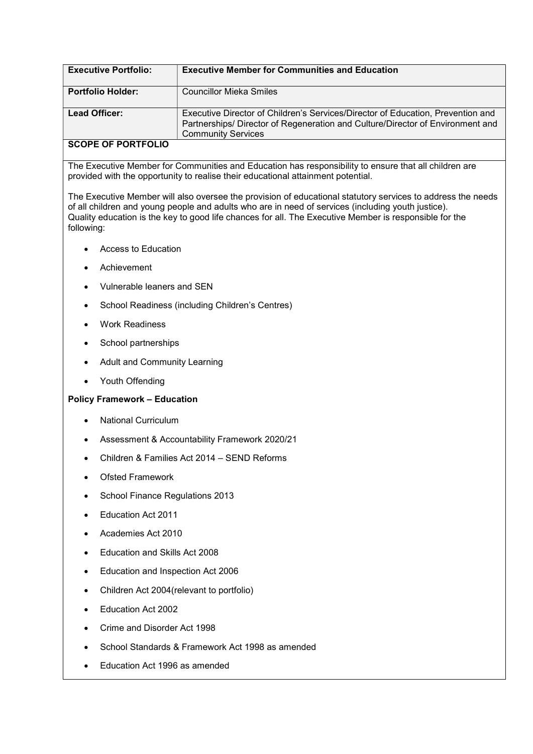| <b>Executive Portfolio:</b> | <b>Executive Member for Communities and Education</b>                                                                                                                                          |
|-----------------------------|------------------------------------------------------------------------------------------------------------------------------------------------------------------------------------------------|
| <b>Portfolio Holder:</b>    | Councillor Mieka Smiles                                                                                                                                                                        |
| Lead Officer:               | Executive Director of Children's Services/Director of Education, Prevention and<br>Partnerships/ Director of Regeneration and Culture/Director of Environment and<br><b>Community Services</b> |
| COODE OF BOBTEOUS           |                                                                                                                                                                                                |

## SCOPE OF PORTFOLIO

The Executive Member for Communities and Education has responsibility to ensure that all children are provided with the opportunity to realise their educational attainment potential.

The Executive Member will also oversee the provision of educational statutory services to address the needs of all children and young people and adults who are in need of services (including youth justice). Quality education is the key to good life chances for all. The Executive Member is responsible for the following:

- Access to Education
- Achievement
- Vulnerable leaners and SEN
- School Readiness (including Children's Centres)
- Work Readiness
- School partnerships
- Adult and Community Learning
- Youth Offending

# Policy Framework – Education

- National Curriculum
- Assessment & Accountability Framework 2020/21
- Children & Families Act 2014 SEND Reforms
- Ofsted Framework
- School Finance Regulations 2013
- Education Act 2011
- Academies Act 2010
- Education and Skills Act 2008
- Education and Inspection Act 2006
- Children Act 2004(relevant to portfolio)
- Education Act 2002
- Crime and Disorder Act 1998
- School Standards & Framework Act 1998 as amended
- Education Act 1996 as amended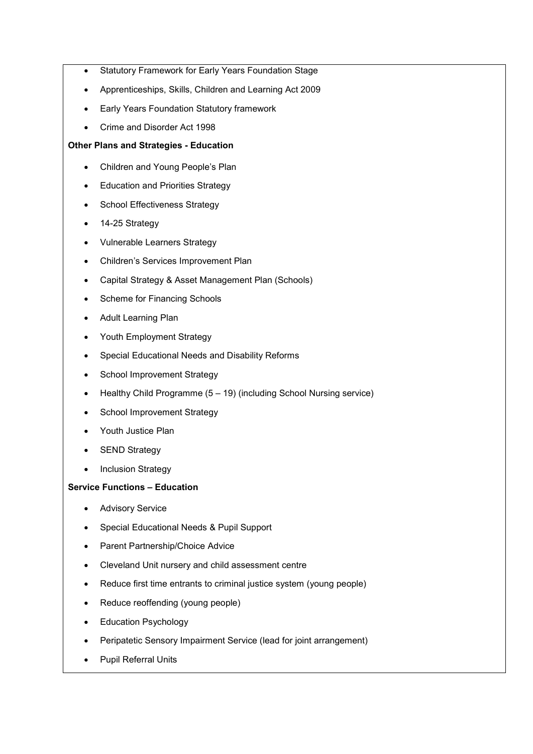- Statutory Framework for Early Years Foundation Stage
- Apprenticeships, Skills, Children and Learning Act 2009
- Early Years Foundation Statutory framework
- Crime and Disorder Act 1998

#### Other Plans and Strategies - Education

- Children and Young People's Plan
- Education and Priorities Strategy
- School Effectiveness Strategy
- 14-25 Strategy
- Vulnerable Learners Strategy
- Children's Services Improvement Plan
- Capital Strategy & Asset Management Plan (Schools)
- Scheme for Financing Schools
- Adult Learning Plan
- Youth Employment Strategy
- Special Educational Needs and Disability Reforms
- School Improvement Strategy
- $\bullet$  Healthy Child Programme (5 19) (including School Nursing service)
- School Improvement Strategy
- Youth Justice Plan
- SEND Strategy
- Inclusion Strategy

## Service Functions – Education

- **•** Advisory Service
- Special Educational Needs & Pupil Support
- Parent Partnership/Choice Advice
- Cleveland Unit nursery and child assessment centre
- Reduce first time entrants to criminal justice system (young people)
- Reduce reoffending (young people)
- Education Psychology
- Peripatetic Sensory Impairment Service (lead for joint arrangement)
- Pupil Referral Units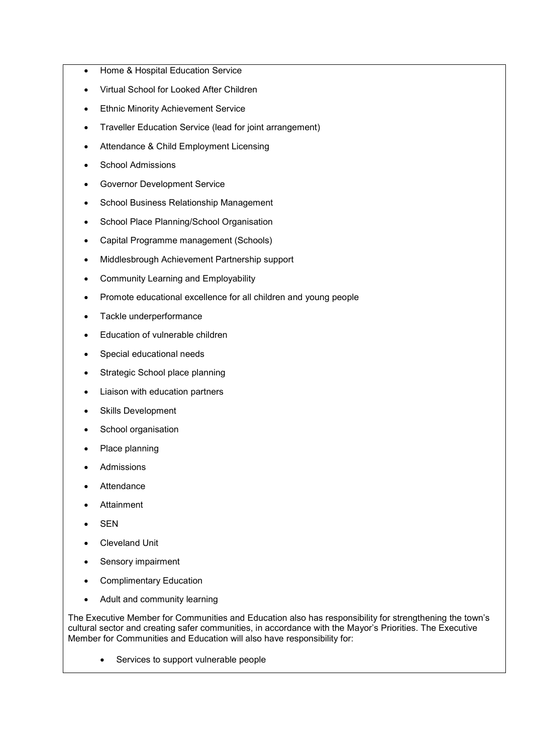- Home & Hospital Education Service
- Virtual School for Looked After Children
- **•** Ethnic Minority Achievement Service
- Traveller Education Service (lead for joint arrangement)
- Attendance & Child Employment Licensing
- School Admissions
- Governor Development Service
- School Business Relationship Management
- School Place Planning/School Organisation
- Capital Programme management (Schools)
- Middlesbrough Achievement Partnership support
- Community Learning and Employability
- Promote educational excellence for all children and young people
- Tackle underperformance
- Education of vulnerable children
- Special educational needs
- Strategic School place planning
- Liaison with education partners
- Skills Development
- School organisation
- Place planning
- Admissions
- Attendance
- Attainment
- SEN
- Cleveland Unit
- Sensory impairment
- Complimentary Education
- Adult and community learning

The Executive Member for Communities and Education also has responsibility for strengthening the town's cultural sector and creating safer communities, in accordance with the Mayor's Priorities. The Executive Member for Communities and Education will also have responsibility for:

• Services to support vulnerable people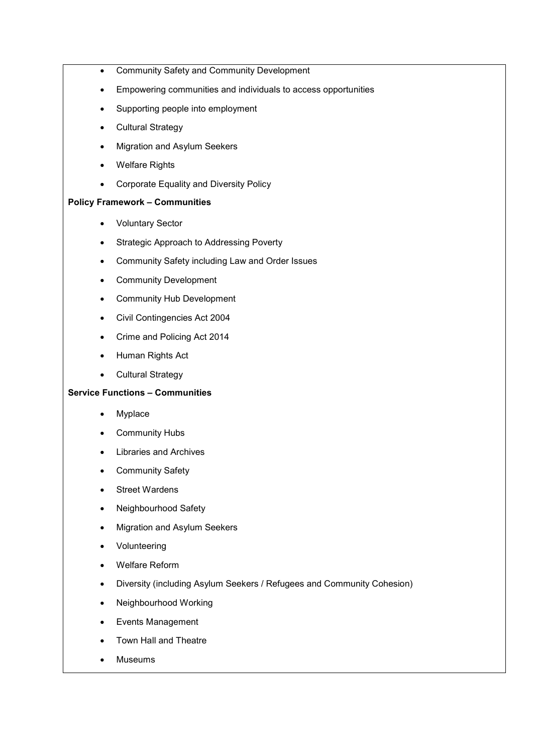- Community Safety and Community Development
- Empowering communities and individuals to access opportunities
- Supporting people into employment
- Cultural Strategy
- Migration and Asylum Seekers
- Welfare Rights
- Corporate Equality and Diversity Policy

### Policy Framework – Communities

- Voluntary Sector
- Strategic Approach to Addressing Poverty
- Community Safety including Law and Order Issues
- Community Development
- Community Hub Development
- Civil Contingencies Act 2004
- Crime and Policing Act 2014
- Human Rights Act
- Cultural Strategy

## Service Functions – Communities

- Myplace
- Community Hubs
- Libraries and Archives
- Community Safety
- Street Wardens
- Neighbourhood Safety
- Migration and Asylum Seekers
- Volunteering
- Welfare Reform
- Diversity (including Asylum Seekers / Refugees and Community Cohesion)
- Neighbourhood Working
- Events Management
- Town Hall and Theatre
- Museums